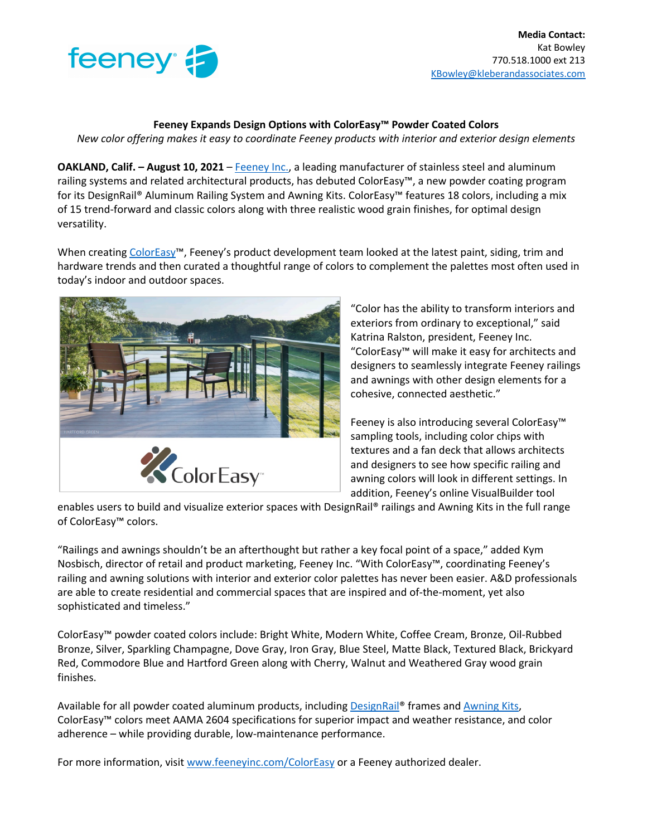

## **Feeney Expands Design Options with ColorEasy™ Powder Coated Colors**

*New color offering makes it easy to coordinate Feeney products with interior and exterior design elements* 

**OAKLAND, Calif. – August 10, 2021** – Feeney Inc., a leading manufacturer of stainless steel and aluminum railing systems and related architectural products, has debuted ColorEasy™, a new powder coating program for its DesignRail® Aluminum Railing System and Awning Kits. ColorEasy™ features 18 colors, including a mix of 15 trend-forward and classic colors along with three realistic wood grain finishes, for optimal design versatility.

When creating ColorEasy<sup>™</sup>, Feeney's product development team looked at the latest paint, siding, trim and hardware trends and then curated a thoughtful range of colors to complement the palettes most often used in today's indoor and outdoor spaces.



"Color has the ability to transform interiors and exteriors from ordinary to exceptional," said Katrina Ralston, president, Feeney Inc. "ColorEasy™ will make it easy for architects and designers to seamlessly integrate Feeney railings and awnings with other design elements for a cohesive, connected aesthetic."

Feeney is also introducing several ColorEasy™ sampling tools, including color chips with textures and a fan deck that allows architects and designers to see how specific railing and awning colors will look in different settings. In addition, Feeney's online VisualBuilder tool

enables users to build and visualize exterior spaces with DesignRail® railings and Awning Kits in the full range of ColorEasy™ colors.

"Railings and awnings shouldn't be an afterthought but rather a key focal point of a space," added Kym Nosbisch, director of retail and product marketing, Feeney Inc. "With ColorEasy™, coordinating Feeney's railing and awning solutions with interior and exterior color palettes has never been easier. A&D professionals are able to create residential and commercial spaces that are inspired and of-the-moment, yet also sophisticated and timeless."

ColorEasy™ powder coated colors include: Bright White, Modern White, Coffee Cream, Bronze, Oil-Rubbed Bronze, Silver, Sparkling Champagne, Dove Gray, Iron Gray, Blue Steel, Matte Black, Textured Black, Brickyard Red, Commodore Blue and Hartford Green along with Cherry, Walnut and Weathered Gray wood grain finishes.

Available for all powder coated aluminum products, including DesignRail® frames and Awning Kits, ColorEasy™ colors meet AAMA 2604 specifications for superior impact and weather resistance, and color adherence – while providing durable, low-maintenance performance.

For more information, visit www.feeneyinc.com/ColorEasy or a Feeney authorized dealer.